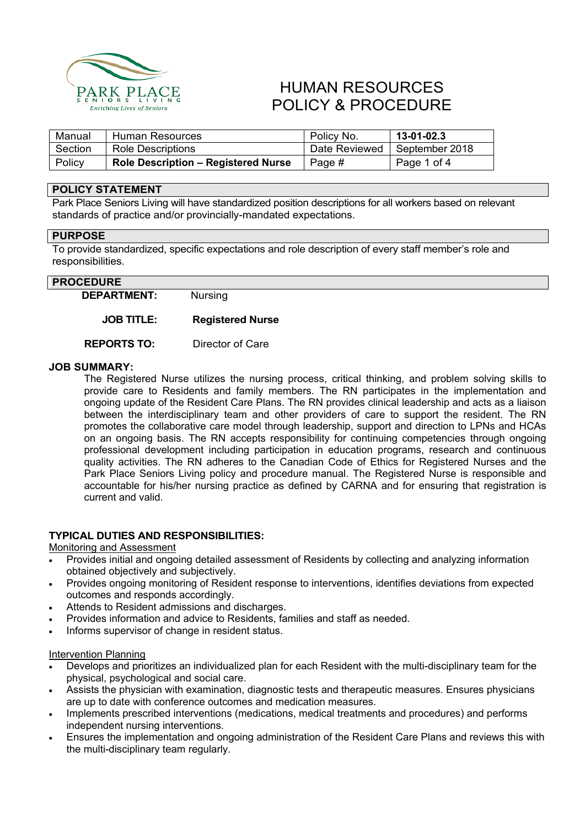

# HUMAN RESOURCES POLICY & PROCEDURE

| Manual  | Human Resources                            | Policy No.    | 13-01-02.3     |
|---------|--------------------------------------------|---------------|----------------|
| Section | Role Descriptions                          | Date Reviewed | September 2018 |
| Policy  | <b>Role Description - Registered Nurse</b> | Page #        | Page 1 of 4    |

## **POLICY STATEMENT**

Park Place Seniors Living will have standardized position descriptions for all workers based on relevant standards of practice and/or provincially-mandated expectations.

# **PURPOSE**

To provide standardized, specific expectations and role description of every staff member's role and responsibilities.

### **PROCEDURE**

**DEPARTMENT:** Nursing

### **JOB TITLE: Registered Nurse**

**REPORTS TO:** Director of Care

### **JOB SUMMARY:**

The Registered Nurse utilizes the nursing process, critical thinking, and problem solving skills to provide care to Residents and family members. The RN participates in the implementation and ongoing update of the Resident Care Plans. The RN provides clinical leadership and acts as a liaison between the interdisciplinary team and other providers of care to support the resident. The RN promotes the collaborative care model through leadership, support and direction to LPNs and HCAs on an ongoing basis. The RN accepts responsibility for continuing competencies through ongoing professional development including participation in education programs, research and continuous quality activities. The RN adheres to the Canadian Code of Ethics for Registered Nurses and the Park Place Seniors Living policy and procedure manual. The Registered Nurse is responsible and accountable for his/her nursing practice as defined by CARNA and for ensuring that registration is current and valid.

### **TYPICAL DUTIES AND RESPONSIBILITIES:**

### Monitoring and Assessment

- Provides initial and ongoing detailed assessment of Residents by collecting and analyzing information obtained objectively and subjectively.
- Provides ongoing monitoring of Resident response to interventions, identifies deviations from expected outcomes and responds accordingly.
- Attends to Resident admissions and discharges.
- Provides information and advice to Residents, families and staff as needed.
- Informs supervisor of change in resident status.

#### Intervention Planning

- Develops and prioritizes an individualized plan for each Resident with the multi-disciplinary team for the physical, psychological and social care.
- Assists the physician with examination, diagnostic tests and therapeutic measures. Ensures physicians are up to date with conference outcomes and medication measures.
- Implements prescribed interventions (medications, medical treatments and procedures) and performs independent nursing interventions.
- Ensures the implementation and ongoing administration of the Resident Care Plans and reviews this with the multi-disciplinary team regularly.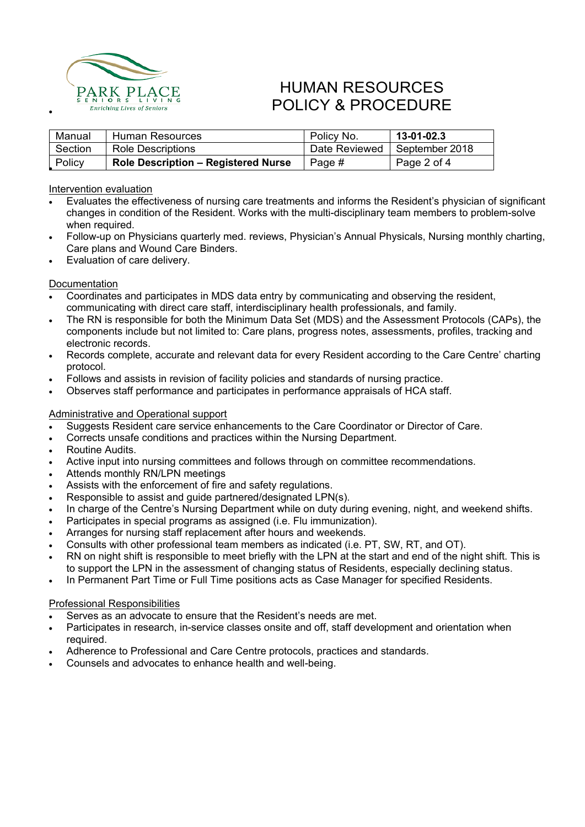

# HUMAN RESOURCES **PARK PLACE**<br>
<u>ENIORS LIVING</u><br>
Enriching Lives of Seniors<br>
POLICY & PROCEDURE

| Manual  | Human Resources                            | Policy No.    | $13 - 01 - 02.3$ |
|---------|--------------------------------------------|---------------|------------------|
| Section | <b>Role Descriptions</b>                   | Date Reviewed | September 2018   |
| Policy  | <b>Role Description - Registered Nurse</b> | Page #        | Page 2 of 4      |

Intervention evaluation

- Evaluates the effectiveness of nursing care treatments and informs the Resident's physician of significant changes in condition of the Resident. Works with the multi-disciplinary team members to problem-solve when required.
- Follow-up on Physicians quarterly med. reviews, Physician's Annual Physicals, Nursing monthly charting, Care plans and Wound Care Binders.
- Evaluation of care delivery.

### **Documentation**

- Coordinates and participates in MDS data entry by communicating and observing the resident, communicating with direct care staff, interdisciplinary health professionals, and family.
- The RN is responsible for both the Minimum Data Set (MDS) and the Assessment Protocols (CAPs), the components include but not limited to: Care plans, progress notes, assessments, profiles, tracking and electronic records.
- Records complete, accurate and relevant data for every Resident according to the Care Centre' charting protocol.
- Follows and assists in revision of facility policies and standards of nursing practice.
- Observes staff performance and participates in performance appraisals of HCA staff.

### Administrative and Operational support

- Suggests Resident care service enhancements to the Care Coordinator or Director of Care.
- Corrects unsafe conditions and practices within the Nursing Department.
- Routine Audits.
- Active input into nursing committees and follows through on committee recommendations.
- Attends monthly RN/LPN meetings
- Assists with the enforcement of fire and safety regulations.
- Responsible to assist and guide partnered/designated LPN(s).
- In charge of the Centre's Nursing Department while on duty during evening, night, and weekend shifts.
- Participates in special programs as assigned (i.e. Flu immunization).
- Arranges for nursing staff replacement after hours and weekends.
- Consults with other professional team members as indicated (i.e. PT, SW, RT, and OT).
- RN on night shift is responsible to meet briefly with the LPN at the start and end of the night shift. This is to support the LPN in the assessment of changing status of Residents, especially declining status.
- In Permanent Part Time or Full Time positions acts as Case Manager for specified Residents.

#### Professional Responsibilities

- Serves as an advocate to ensure that the Resident's needs are met.
- Participates in research, in-service classes onsite and off, staff development and orientation when required.
- Adherence to Professional and Care Centre protocols, practices and standards.
- Counsels and advocates to enhance health and well-being.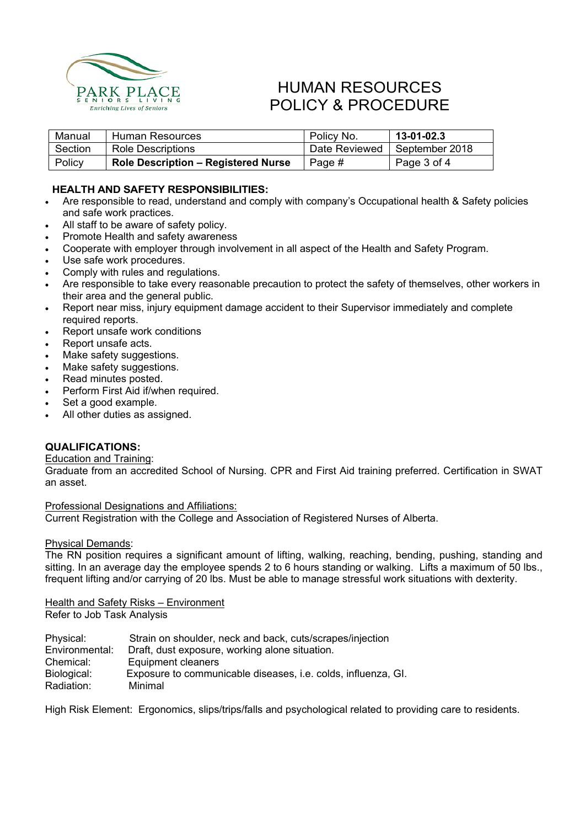

# HUMAN RESOURCES POLICY & PROCEDURE

| Manual  | Human Resources                            | Policy No.    | 13-01-02.3     |
|---------|--------------------------------------------|---------------|----------------|
| Section | Role Descriptions                          | Date Reviewed | September 2018 |
| Policy  | <b>Role Description - Registered Nurse</b> | Page #        | Page 3 of 4    |

## **HEALTH AND SAFETY RESPONSIBILITIES:**

- Are responsible to read, understand and comply with company's Occupational health & Safety policies and safe work practices.
- All staff to be aware of safety policy.
- Promote Health and safety awareness
- Cooperate with employer through involvement in all aspect of the Health and Safety Program.
- Use safe work procedures.
- Comply with rules and regulations.
- Are responsible to take every reasonable precaution to protect the safety of themselves, other workers in their area and the general public.
- Report near miss, injury equipment damage accident to their Supervisor immediately and complete required reports.
- Report unsafe work conditions
- Report unsafe acts.
- Make safety suggestions.
- Make safety suggestions.
- Read minutes posted.
- Perform First Aid if/when required.
- Set a good example.
- All other duties as assigned.

### **QUALIFICATIONS:**

### Education and Training:

Graduate from an accredited School of Nursing. CPR and First Aid training preferred. Certification in SWAT an asset.

Professional Designations and Affiliations:

Current Registration with the College and Association of Registered Nurses of Alberta.

### Physical Demands:

The RN position requires a significant amount of lifting, walking, reaching, bending, pushing, standing and sitting. In an average day the employee spends 2 to 6 hours standing or walking. Lifts a maximum of 50 lbs., frequent lifting and/or carrying of 20 lbs. Must be able to manage stressful work situations with dexterity.

# Health and Safety Risks – Environment

Refer to Job Task Analysis

| Physical:      | Strain on shoulder, neck and back, cuts/scrapes/injection     |
|----------------|---------------------------------------------------------------|
| Environmental: | Draft, dust exposure, working alone situation.                |
| Chemical:      | Equipment cleaners                                            |
| Biological:    | Exposure to communicable diseases, i.e. colds, influenza, GI. |
| Radiation:     | Minimal                                                       |

High Risk Element: Ergonomics, slips/trips/falls and psychological related to providing care to residents.